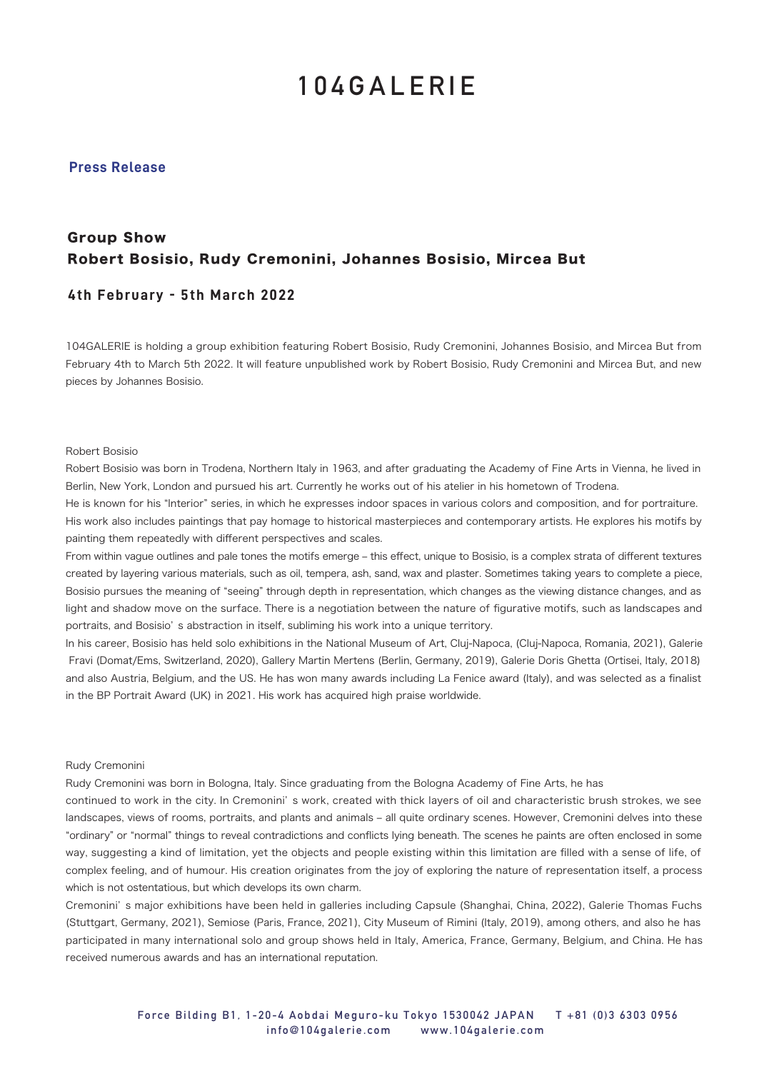## **104GALERIE**

### **Press Release**

## Group Show Robert Bosisio, Rudy Cremonini, Johannes Bosisio, Mircea But

### **4th February - 5th March 2022**

104GALERIE is holding a group exhibition featuring Robert Bosisio, Rudy Cremonini, Johannes Bosisio, and Mircea But from February 4th to March 5th 2022. It will feature unpublished work by Robert Bosisio, Rudy Cremonini and Mircea But, and new pieces by Johannes Bosisio.

#### Robert Bosisio

Robert Bosisio was born in Trodena, Northern Italy in 1963, and after graduating the Academy of Fine Arts in Vienna, he lived in Berlin, New York, London and pursued his art. Currently he works out of his atelier in his hometown of Trodena.

He is known for his "Interior" series, in which he expresses indoor spaces in various colors and composition, and for portraiture. His work also includes paintings that pay homage to historical masterpieces and contemporary artists. He explores his motifs by painting them repeatedly with different perspectives and scales.

From within vague outlines and pale tones the motifs emerge – this effect, unique to Bosisio, is a complex strata of different textures created by layering various materials, such as oil, tempera, ash, sand, wax and plaster. Sometimes taking years to complete a piece, Bosisio pursues the meaning of "seeing" through depth in representation, which changes as the viewing distance changes, and as light and shadow move on the surface. There is a negotiation between the nature of figurative motifs, such as landscapes and portraits, and Bosisio' s abstraction in itself, subliming his work into a unique territory.

In his career, Bosisio has held solo exhibitions in the National Museum of Art, Cluj-Napoca, (Cluj-Napoca, Romania, 2021), Galerie Fravi (Domat/Ems, Switzerland, 2020), Gallery Martin Mertens (Berlin, Germany, 2019), Galerie Doris Ghetta (Ortisei, Italy, 2018) and also Austria, Belgium, and the US. He has won many awards including La Fenice award (Italy), and was selected as a finalist in the BP Portrait Award (UK) in 2021. His work has acquired high praise worldwide.

#### Rudy Cremonini

Rudy Cremonini was born in Bologna, Italy. Since graduating from the Bologna Academy of Fine Arts, he has

continued to work in the city. In Cremonini' s work, created with thick layers of oil and characteristic brush strokes, we see landscapes, views of rooms, portraits, and plants and animals - all quite ordinary scenes. However, Cremonini delves into these "ordinary" or "normal" things to reveal contradictions and conflicts lying beneath. The scenes he paints are often enclosed in some way, suggesting a kind of limitation, yet the objects and people existing within this limitation are filled with a sense of life, of complex feeling, and of humour. His creation originates from the joy of exploring the nature of representation itself, a process which is not ostentatious, but which develops its own charm.

Cremonini' s major exhibitions have been held in galleries including Capsule (Shanghai, China, 2022), Galerie Thomas Fuchs (Stuttgart, Germany, 2021), Semiose (Paris, France, 2021), City Museum of Rimini (Italy, 2019), among others, and also he has participated in many international solo and group shows held in Italy, America, France, Germany, Belgium, and China. He has received numerous awards and has an international reputation.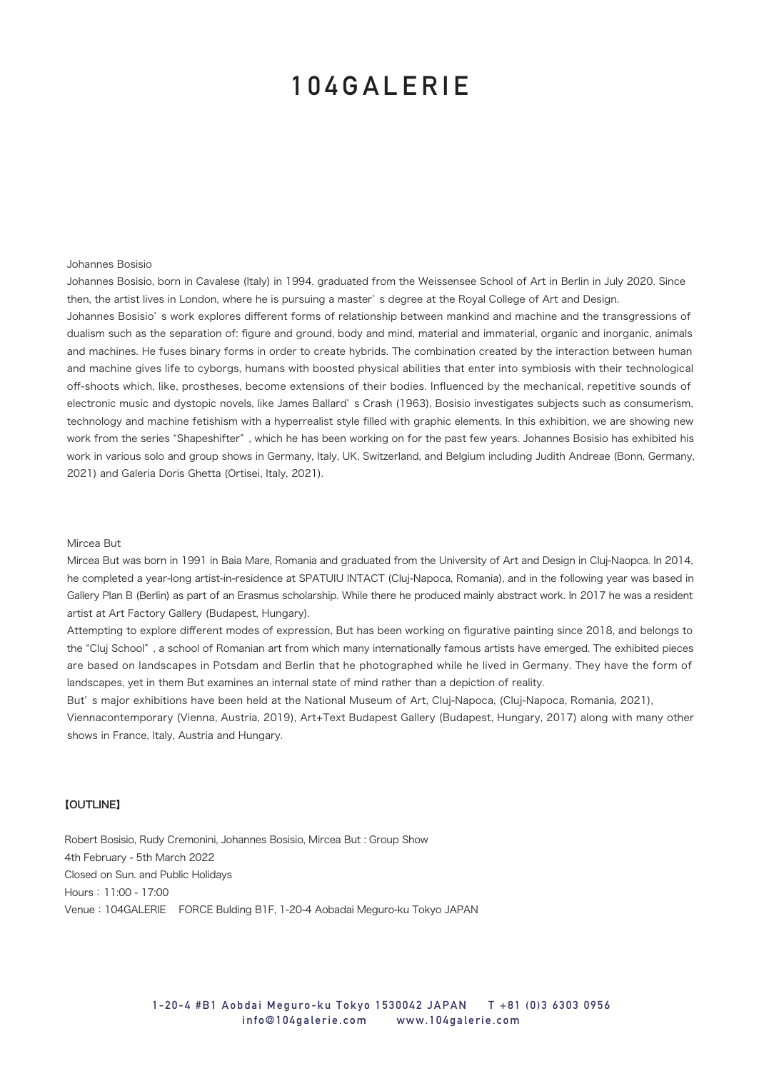## **104GALERIE**

#### Johannes Bosisio

Johannes Bosisio, born in Cavalese (Italy) in 1994, graduated from the Weissensee School of Art in Berlin in July 2020. Since then, the artist lives in London, where he is pursuing a master' s degree at the Royal College of Art and Design.

Johannes Bosisio' s work explores different forms of relationship between mankind and machine and the transgressions of dualism such as the separation of: figure and ground, body and mind, material and immaterial, organic and inorganic, animals and machines. He fuses binary forms in order to create hybrids. The combination created by the interaction between human and machine gives life to cyborgs, humans with boosted physical abilities that enter into symbiosis with their technological off-shoots which, like, prostheses, become extensions of their bodies. Influenced by the mechanical, repetitive sounds of electronic music and dystopic novels, like James Ballard' s Crash (1963), Bosisio investigates subjects such as consumerism, technology and machine fetishism with a hyperrealist style filled with graphic elements. In this exhibition, we are showing new work from the series "Shapeshifter" , which he has been working on for the past few years. Johannes Bosisio has exhibited his work in various solo and group shows in Germany, Italy, UK, Switzerland, and Belgium including Judith Andreae (Bonn, Germany, 2021) and Galeria Doris Ghetta (Ortisei, Italy, 2021).

#### Mircea But

Mircea But was born in 1991 in Baia Mare, Romania and graduated from the University of Art and Design in Cluj-Naopca. In 2014, he completed a year-long artist-in-residence at SPATUIU INTACT (Cluj-Napoca, Romania), and in the following year was based in Gallery Plan B (Berlin) as part of an Erasmus scholarship. While there he produced mainly abstract work. In 2017 he was a resident artist at Art Factory Gallery (Budapest, Hungary).

Attempting to explore different modes of expression, But has been working on figurative painting since 2018, and belongs to the "Cluj School" , a school of Romanian art from which many internationally famous artists have emerged. The exhibited pieces are based on landscapes in Potsdam and Berlin that he photographed while he lived in Germany. They have the form of landscapes, yet in them But examines an internal state of mind rather than a depiction of reality.

But' s major exhibitions have been held at the National Museum of Art, Cluj-Napoca, (Cluj-Napoca, Romania, 2021),

Viennacontemporary (Vienna, Austria, 2019), Art+Text Budapest Gallery (Budapest, Hungary, 2017) along with many other shows in France, Italy, Austria and Hungary.

## 【OUTLINE】

Robert Bosisio, Rudy Cremonini, Johannes Bosisio, Mircea But : Group Show 4th February - 5th March 2022 Closed on Sun. and Public Holidays Hours: 11:00 - 17:00 Venue:104GALERIE FORCE Bulding B1F, 1-20-4 Aobadai Meguro-ku Tokyo JAPAN